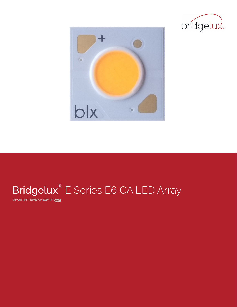



## Bridgelux<sup>®</sup> E Series E6 CA LED Array

**Product Data Sheet DS335**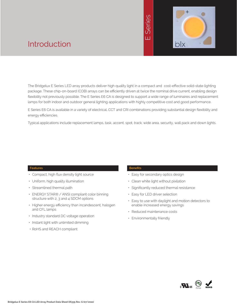# E Series



### Introduction

The Bridgelux E Series LED array products deliver high quality light in a compact and cost-effective solid-state lighting package. These chip-on-board (COB) arrays can be efficiently driven at twice the nominal drive current, enabling design flexibility not previously possible. The E Series E6 CA is designed to support a wide range of luminaires and replacement lamps for both indoor and outdoor general lighting applications with highly competitive cost and good performance.

E Series E6 CA is available in a variety of electrical, CCT and CRI combinations providing substantial design flexibility and energy efficiencies.

Typical applications include replacement lamps, task, accent, spot, track, wide area, security, wall pack and down lights.

#### **Features**

- Compact, high flux density light source
- Uniform, high quality illumination
- Streamlined thermal path
- ENERGY STAR® / ANSI compliant color binning structure with 2, 3 and 4 SDCM options
- Higher energy efficiency than incandescent, halogen and CFL lamps
- Industry standard DC voltage operation
- Instant light with unlimited dimming
- RoHS and REACH compliant

#### **Benefits**

- Easy for secondary optics design
- Clean white light without pixilation
- Significantly reduced thermal resistance
- Easy for LED driver selection
- Easy to use with daylight and motion detectors to enable increased energy savings
- Reduced maintenance costs
- Environmentally friendly

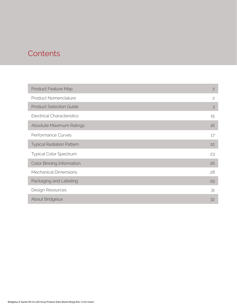### **Contents**

| <b>Product Feature Map</b>        | $\overline{2}$ |
|-----------------------------------|----------------|
| <b>Product Nomenclature</b>       | $\mathbf{2}$   |
| <b>Product Selection Guide</b>    | 3              |
| <b>Electrical Characteristics</b> | 15             |
| Absolute Maximum Ratings          | 16             |
| Performance Curves                | 17             |
| <b>Typical Radiation Pattern</b>  | 22             |
| <b>Typical Color Spectrum</b>     | 23             |
| <b>Color Binning Information</b>  | 26             |
| <b>Mechanical Dimensions</b>      | 28             |
| Packaging and Labeling            | 29             |
| Design Resources                  | 31             |
| About Bridgelux                   | 32             |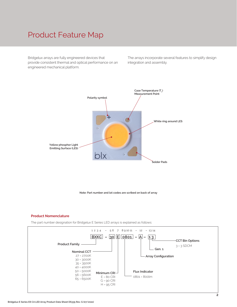### Product Feature Map

Bridgelux arrays are fully engineered devices that provide consistent thermal and optical performance on an engineered mechanical platform.

The arrays incorporate several features to simplify design integration and assembly.



**Note: Part number and lot codes are scribed on back of array**

#### **Product Nomenclature**

The part number designation for Bridgelux E Series LED arrays is explained as follows:

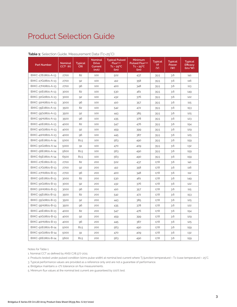| Part Number       | Nominal<br>CCT <sup>1</sup> (K) | <b>Typical</b><br><b>CRI</b> | <b>Nominal</b><br><b>Drive</b><br>Current<br>(mA) | <b>Typical Pulsed</b><br>Flux <sup>2,3,4</sup><br>$Tc = 25^{\circ}C$<br>(lm) | Minimum<br>Pulsed Flux <sup>2,4,5</sup><br>$Tc = 25^{\circ}C$<br>(lm) | <b>Typical</b><br>Vf<br>(V) | <b>Typical</b><br>Power<br>(W) | <b>Typical</b><br>Efficacy<br>$\frac{1}{2}$ |
|-------------------|---------------------------------|------------------------------|---------------------------------------------------|------------------------------------------------------------------------------|-----------------------------------------------------------------------|-----------------------------|--------------------------------|---------------------------------------------|
| BXKC-27E0801-A-13 | 2700                            | 82                           | 100                                               | 502                                                                          | 437                                                                   | 35.5                        | 3.6                            | 141                                         |
| BXKC-27G0801-A-13 | 2700                            | 92                           | 100                                               | 412                                                                          | 358                                                                   | 35.5                        | 3.6                            | 116                                         |
| BXKC-27H0801-A-13 | 2700                            | 96                           | 100                                               | 400                                                                          | 348                                                                   | 35.5                        | 3.6                            | 113                                         |
| BXKC-30E0801-A-13 | 3000                            | 82                           | 100                                               | 530                                                                          | 461                                                                   | 35.5                        | 3.6                            | 149                                         |
| BXKC-30G0801-A-13 | 3000                            | 92                           | 100                                               | 432                                                                          | 376                                                                   | 35.5                        | 3.6                            | 122                                         |
| BXKC-30H0801-A-13 | 3000                            | 96                           | 100                                               | 410                                                                          | 357                                                                   | 35.5                        | 3.6                            | 115                                         |
| BXKC-35E0801-A-13 | 3500                            | 82                           | 100                                               | 542                                                                          | 472                                                                   | 35.5                        | 3.6                            | 153                                         |
| BXKC-35G0801-A-13 | 3500                            | 92                           | 100                                               | 443                                                                          | 385                                                                   | 35.5                        | 3.6                            | 125                                         |
| BXKC-35H0801-A-13 | 3500                            | 96                           | 100                                               | 435                                                                          | 378                                                                   | 35.5                        | 3.6                            | 123                                         |
| BXKC-40E0801-A-13 | 4000                            | 82                           | 100                                               | 547                                                                          | 476                                                                   | 35.5                        | 3.6                            | 154                                         |
| BXKC-40G0801-A-13 | 4000                            | 92                           | 100                                               | 459                                                                          | 399                                                                   | 35.5                        | 3.6                            | 129                                         |
| BXKC-40H0801-A-13 | 4000                            | 96                           | 100                                               | 445                                                                          | 387                                                                   | 35.5                        | 3.6                            | 125                                         |
| BXKC-50E0801-A-14 | 5000                            | 81.5                         | 100                                               | 563                                                                          | 490                                                                   | 35.5                        | 3.6                            | 159                                         |
| BXKC-50G0801-A-14 | 5000                            | 91                           | 100                                               | 470                                                                          | 409                                                                   | 35.5                        | 3.6                            | 132                                         |
| BXKC-56E0801-A-14 | 5600                            | 81.5                         | 100                                               | 563                                                                          | 490                                                                   | 35.5                        | 3.6                            | 159                                         |
| BXKC-65E0801-A-14 | 6500                            | 81.5                         | 100                                               | 563                                                                          | 490                                                                   | 35.5                        | 3.6                            | 159                                         |
| BXKC-27E0801-B-13 | 2700                            | 82                           | 200                                               | 502                                                                          | 437                                                                   | 17.8                        | 3.6                            | 141                                         |
| BXKC-27G0801-B-13 | 2700                            | 92                           | 200                                               | 412                                                                          | 358                                                                   | 17.8                        | 3.6                            | 116                                         |
| BXKC-27H0801-B-13 | 2700                            | 96                           | 200                                               | 400                                                                          | 348                                                                   | 17.8                        | 3.6                            | 112                                         |
| BXKC-30E0801-B-13 | 3000                            | 82                           | 200                                               | 530                                                                          | 461                                                                   | 17.8                        | 3.6                            | 149                                         |
| BXKC-30G0801-B-13 | 3000                            | 92                           | 200                                               | 432                                                                          | 376                                                                   | 17.8                        | 3.6                            | 122                                         |
| BXKC-30H0801-B-13 | 3000                            | 96                           | 200                                               | 410                                                                          | 357                                                                   | 17.8                        | 3.6                            | 115                                         |
| BXKC-35E0801-B-13 | 3500                            | 82                           | 200                                               | 542                                                                          | 472                                                                   | 17.8                        | 3.6                            | 153                                         |
| BXKC-35G0801-B-13 | 3500                            | 92                           | 200                                               | 443                                                                          | 385                                                                   | 17.8                        | 3.6                            | 125                                         |
| BXKC-35H0801-B-13 | 3500                            | 96                           | 200                                               | 435                                                                          | 378                                                                   | 17.8                        | 3.6                            | 122                                         |
| BXKC-40E0801-B-13 | 4000                            | 82                           | 200                                               | 547                                                                          | 476                                                                   | 17.8                        | 3.6                            | 154                                         |
| BXKC-40G0801-B-13 | 4000                            | 92                           | 200                                               | 459                                                                          | 399                                                                   | 17.8                        | 3.6                            | 129                                         |
| BXKC-40H0801-B-13 | 4000                            | 96                           | 200                                               | 445                                                                          | 387                                                                   | 17.8                        | 3.6                            | 125                                         |
| BXKC-50E0801-B-14 | 5000                            | 81.5                         | 200                                               | 563                                                                          | 490                                                                   | 17.8                        | 3.6                            | 159                                         |
| BXKC-50G0801-B-14 | 5000                            | 91                           | 200                                               | 470                                                                          | 409                                                                   | 17.8                        | 3.6                            | 132                                         |
| BXKC-56E0801-B-14 | 5600                            | 81.5                         | 200                                               | 563                                                                          | 490                                                                   | 17.8                        | 3.6                            | 159                                         |

#### **Table 1:** Selection Guide, Measurement Data (Tc=25°C)

Notes for Table 1:

1. Nominal CCT as defined by ANSI C78.377-2011.

2. Products tested under pulsed condition (10ms pulse width) at nominal test current where Tj (junction temperature) = Tc (case temperature) = 25°C.

3. Typical performance values are provided as a reference only and are not a guarantee of performance.

4. Bridgelux maintains a ±7% tolerance on flux measurements.

5. Minimum flux values at the nominal test current are guaranteed by 100% test.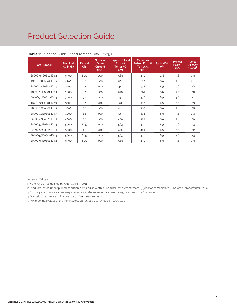| <b>Part Number</b> | <b>Nominal</b><br>CCT <sup>1</sup> (K) | <b>Typical</b><br><b>CRI</b> | <b>Nominal</b><br><b>Drive</b><br>Current<br>(mA) | <b>Typical Pulsed</b><br>Flux <sup>2,3,4</sup><br>$Tc = 25^{\circ}C$<br>(lm) | <b>Minimum</b><br>Pulsed Flux <sup>2,4,5</sup><br>$Tc = 25^{\circ}C$<br>(lm) | <b>Typical Vf</b><br>(V) | <b>Typical</b><br>Power<br>(VX) | <b>Typical</b><br>Efficacy<br>(lm/W) |
|--------------------|----------------------------------------|------------------------------|---------------------------------------------------|------------------------------------------------------------------------------|------------------------------------------------------------------------------|--------------------------|---------------------------------|--------------------------------------|
| BXKC-65E0801-B-14  | 6500                                   | 81.5                         | 200                                               | 563                                                                          | 490                                                                          | 17.8                     | 3.6                             | 159                                  |
| BXKC-27E0801-D-13  | 2700                                   | 82                           | 400                                               | 502                                                                          | 437                                                                          | 8.9                      | 3.6                             | 141                                  |
| BXKC-27G0801-D-13  | 2700                                   | 92                           | 400                                               | 412                                                                          | 358                                                                          | 8.9                      | 3.6                             | 116                                  |
| BXKC-30E0801-D-13  | 3000                                   | 82                           | 400                                               | 530                                                                          | 461                                                                          | 8.9                      | 3.6                             | 149                                  |
| BXKC-30G0801-D-13  | 3000                                   | 92                           | 400                                               | 432                                                                          | 376                                                                          | 8.9                      | 3.6                             | 122                                  |
| BXKC-35E0801-D-13  | 3500                                   | 82                           | 400                                               | 542                                                                          | 472                                                                          | 8.9                      | 3.6                             | 153                                  |
| BXKC-35G0801-D-13  | 3500                                   | 92                           | 400                                               | 443                                                                          | 385                                                                          | 8.9                      | 3.6                             | 125                                  |
| BXKC-40E0801-D-13  | 4000                                   | 82                           | 400                                               | 547                                                                          | 476                                                                          | 8.9                      | 3.6                             | 154                                  |
| BXKC-40G0801-D-13  | 4000                                   | 92                           | 400                                               | 459                                                                          | 399                                                                          | 8.9                      | 3.6                             | 129                                  |
| BXKC-50E0801-D-14  | 5000                                   | 81.5                         | 400                                               | 563                                                                          | 490                                                                          | 8.9                      | 3.6                             | 159                                  |
| BXKC-50G0801-D-14  | 5000                                   | 91                           | 400                                               | 470                                                                          | 409                                                                          | 8.9                      | 3.6                             | 132                                  |
| BXKC-56E0801-D-14  | 5600                                   | 81.5                         | 400                                               | 563                                                                          | 490                                                                          | 8.9                      | 3.6                             | 159                                  |
| BXKC-65E0801-D-14  | 6500                                   | 81.5                         | 400                                               | 563                                                                          | 490                                                                          | 8.9                      | 3.6                             | 159                                  |

#### **Table 1:** Selection Guide, Measurement Data (Tc=25°C)

Notes for Table 1:

1. Nominal CCT as defined by ANSI C78.377-2011.

2. Products tested under pulsed condition (10ms pulse width) at nominal test current where Tj (junction temperature) = Tc (case temperature) = 25°C.

3. Typical performance values are provided as a reference only and are not a guarantee of performance.

4. Bridgelux maintains a ±7% tolerance on flux measurements.

5. Minimum flux values at the nominal test current are guaranteed by 100% test.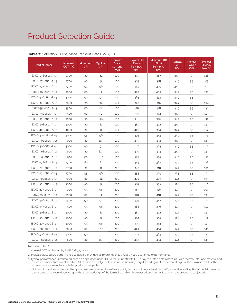| <b>Part Number</b> | <b>Nominal</b><br>$CCT1$ (K) | Minumum<br><b>CRI</b> | <b>Typical</b><br><b>CRI</b> | <b>Nominal</b><br><b>Drive</b><br>Current<br>(mA) | <b>Typical DC</b><br>Flux <sup>2,3</sup><br>$Tc = 85^{\circ}C$<br>(lm) | Minimum DC<br>Flux <sup>4</sup><br>$Tc = 85^{\circ}C$<br>(lm) | <b>Typical</b><br>Vf<br>(V) | <b>Typical</b><br>Power<br>(W) | <b>Typical</b><br>Efficacy<br>$\frac{1}{2}$ |
|--------------------|------------------------------|-----------------------|------------------------------|---------------------------------------------------|------------------------------------------------------------------------|---------------------------------------------------------------|-----------------------------|--------------------------------|---------------------------------------------|
| BXKC-27E0801-A-13  | 2700                         | 80                    | 82                           | 100                                               | 445                                                                    | 387                                                           | 34.9                        | 3.5                            | 128                                         |
| BXKC-27G0801-A-13  | 2700                         | 90                    | 92                           | 100                                               | 365                                                                    | 318                                                           | 34.9                        | 3.5                            | 105                                         |
| BXKC-27H0801-A-13  | 2700                         | 95                    | 96                           | 100                                               | 355                                                                    | 309                                                           | 34.9                        | 3.5                            | 102                                         |
| BXKC-30E0801-A-13  | 3000                         | 80                    | 82                           | 100                                               | 470                                                                    | 409                                                           | 34.9                        | 3.5                            | 135                                         |
| BXKC-30G0801-A-13  | 3000                         | 90                    | 92                           | 100                                               | 383                                                                    | 333                                                           | 34.9                        | 3.5                            | 110                                         |
| BXKC-30H0801-A-13  | 3000                         | 95                    | 96                           | 100                                               | 363                                                                    | 316                                                           | 34.9                        | 3.5                            | 104                                         |
| BXKC-35E0801-A-13  | 3500                         | 80                    | 82                           | 100                                               | 481                                                                    | 418                                                           | 34.9                        | 3.5                            | 138                                         |
| BXKC-35G0801-A-13  | 3500                         | 90                    | 92                           | 100                                               | 393                                                                    | 342                                                           | 34.9                        | 3.5                            | 113                                         |
| BXKC-35H0801-A-13  | 3500                         | 95                    | 96                           | 100                                               | 386                                                                    | 336                                                           | 34.9                        | 3.5                            | 111                                         |
| BXKC-40E0801-A-13  | 4000                         | 80                    | 82                           | 100                                               | 485                                                                    | 422                                                           | 34.9                        | 3.5                            | 139                                         |
| BXKC-40G0801-A-13  | 4000                         | 90                    | 92                           | 100                                               | 407                                                                    | 354                                                           | 34.9                        | 3.5                            | 117                                         |
| BXKC-40H0801-A-13  | 4000                         | 95                    | 96                           | 100                                               | 395                                                                    | 343                                                           | 34.9                        | 3.5                            | 113                                         |
| BXKC-50E0801-A-14  | 5000                         | 80                    | 81.5                         | 100                                               | 499                                                                    | 434                                                           | 34.9                        | 3.5                            | 143                                         |
| BXKC-50G0801-A-14  | 5000                         | 90                    | 91                           | 100                                               | 417                                                                    | 363                                                           | 34.9                        | 3.5                            | 120                                         |
| BXKC-56E0801-A-14  | 5600                         | 80                    | 81.5                         | 100                                               | 499                                                                    | 434                                                           | 34.9                        | 3.5                            | 143                                         |
| BXKC-65E0801-A-14  | 6500                         | 80                    | 81.5                         | 100                                               | 499                                                                    | 434                                                           | 34.9                        | 3.5                            | 143                                         |
| BXKC-27E0801-B-13  | 2700                         | 80                    | 82                           | 200                                               | 445                                                                    | 387                                                           | 17.4                        | 3.5                            | 128                                         |
| BXKC-27G0801-B-13  | 2700                         | 90                    | 92                           | 200                                               | 365                                                                    | 318                                                           | 17.4                        | 3.5                            | 105                                         |
| BXKC-27H0801-B-13  | 2700                         | 95                    | 96                           | 200                                               | 355                                                                    | 309                                                           | 17.5                        | 3.5                            | 101                                         |
| BXKC-30E0801-B-13  | 3000                         | 80                    | 82                           | 200                                               | 470                                                                    | 409                                                           | 17.4                        | 3.5                            | 135                                         |
| BXKC-30G0801-B-13  | 3000                         | 90                    | 92                           | 200                                               | 383                                                                    | 333                                                           | 17.4                        | 3.5                            | 110                                         |
| BXKC-30H0801-B-13  | 3000                         | 95                    | 96                           | 200                                               | 363                                                                    | 316                                                           | 17.5                        | 3.5                            | 104                                         |
| BXKC-35E0801-B-13  | 3500                         | 80                    | 82                           | 200                                               | 481                                                                    | 418                                                           | 17.4                        | 3.5                            | 138                                         |
| BXKC-35G0801-B-13  | 3500                         | 90                    | 92                           | 200                                               | 393                                                                    | 342                                                           | 17.4                        | 3.5                            | 113                                         |
| BXKC-35H0801-B-13  | 3500                         | 95                    | 96                           | 200                                               | 386                                                                    | 336                                                           | 17.5                        | 3.5                            | 110                                         |
| BXKC-40E0801-B-13  | 4000                         | 80                    | 82                           | 200                                               | 485                                                                    | 422                                                           | 17.4                        | 3.5                            | 139                                         |
| BXKC-40G0801-B-13  | 4000                         | 90                    | 92                           | 200                                               | 407                                                                    | 354                                                           | 17.4                        | 3.5                            | 117                                         |
| BXKC-40H0801-B-13  | 4000                         | 95                    | 96                           | 200                                               | 395                                                                    | 343                                                           | 17.5                        | 3.5                            | 113                                         |
| BXKC-50E0801-B-14  | 5000                         | 80                    | 81.5                         | 200                                               | 499                                                                    | 434                                                           | 17.4                        | 3.5                            | 143                                         |
| BXKC-50G0801-B-14  | 5000                         | 90                    | 91                           | 200                                               | 417                                                                    | 363                                                           | 17.4                        | 3.5                            | 120                                         |
| BXKC-56E0801-B-14  | 5600                         | 80                    | 81.5                         | 200                                               | 499                                                                    | 434                                                           | 17.4                        | 3.5                            | 143                                         |

#### **Table 2:** Selection Guide, Measurement Data (Tc=85°C)

Notes for Table 2:

1. Nominal CCT as defined by ANSI C78.377-2011.

2. Typical stabilized DC performance values are provided as reference only and are not a guarantee of performance.

3. Typical performance is estimated based on operation under DC (direct current) with LED array mounted onto a heat sink with thermal interface material and the case temperature maintained at 85°C. Based on Bridgelux test setup, values may vary depending on the thermal design of the luminaire and/or the exposed environment to which the product is subjected.

4. Minimum flux values at elevated temperatures are provided for reference only and are not guaranteed by 100% production testing. Based on Bridgelux test setup, values may vary depending on the thermal design of the luminaire and/or the exposed environment to which the product is subjected.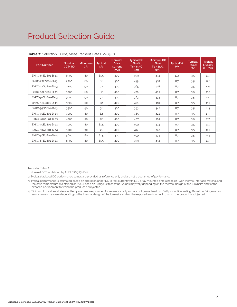| <b>Part Number</b> | <b>Nominal</b><br>$CCT1$ (K) | Minumum<br><b>CRI</b> | <b>Typical</b><br><b>CRI</b> | <b>Nominal</b><br><b>Drive</b><br>Current<br>(mA) | <b>Typical DC</b><br>Flux <sup>2,3</sup><br>$Tc = 85^{\circ}C$<br>(lm) | Minimum DC<br>Flux <sup>4</sup><br>$Tc = 85^{\circ}C$<br>(lm) | <b>Typical Vf</b><br>(V) | <b>Typical</b><br>Power<br>(W) | <b>Typical</b><br>Efficacy<br>(lm/W) |
|--------------------|------------------------------|-----------------------|------------------------------|---------------------------------------------------|------------------------------------------------------------------------|---------------------------------------------------------------|--------------------------|--------------------------------|--------------------------------------|
| BXKC-65E0801-B-14  | 6500                         | 80                    | 81.5                         | 200                                               | 499                                                                    | 434                                                           | 17.4                     | 3.5                            | 143                                  |
| BXKC-27E0801-D-13  | 2700                         | 80                    | 82                           | 400                                               | 445                                                                    | 387                                                           | 8.7                      | 3.5                            | 128                                  |
| BXKC-27G0801-D-13  | 2700                         | 90                    | 92                           | 400                                               | 365                                                                    | 318                                                           | 8.7                      | 3.5                            | 105                                  |
| BXKC-30E0801-D-13  | 3000                         | 80                    | 82                           | 400                                               | 470                                                                    | 409                                                           | 8.7                      | 3.5                            | 135                                  |
| BXKC-30G0801-D-13  | 3000                         | 90                    | 92                           | 400                                               | 383                                                                    | 333                                                           | 8.7                      | 3.5                            | 110                                  |
| BXKC-35E0801-D-13  | 3500                         | 80                    | 82                           | 400                                               | 481                                                                    | 418                                                           | 8.7                      | 3.5                            | 138                                  |
| BXKC-35G0801-D-13  | 3500                         | 90                    | 92                           | 400                                               | 393                                                                    | 342                                                           | 8.7                      | 3.5                            | 113                                  |
| BXKC-40E0801-D-13  | 4000                         | 80                    | 82                           | 400                                               | 485                                                                    | 422                                                           | 8.7                      | 3.5                            | 139                                  |
| BXKC-40G0801-D-13  | 4000                         | 90                    | 92                           | 400                                               | 407                                                                    | 354                                                           | 8.7                      | 3.5                            | 117                                  |
| BXKC-50E0801-D-14  | 5000                         | 80                    | 81.5                         | 400                                               | 499                                                                    | 434                                                           | 8.7                      | 3.5                            | 143                                  |
| BXKC-50G0801-D-14  | 5000                         | 90                    | 91                           | 400                                               | 417                                                                    | 363                                                           | 8.7                      | 3.5                            | 120                                  |
| BXKC-56E0801-D-14  | 5600                         | 80                    | 81.5                         | 400                                               | 499                                                                    | 434                                                           | 8.7                      | 3.5                            | 143                                  |
| BXKC-65E0801-D-14  | 6500                         | 80                    | 81.5                         | 400                                               | 499                                                                    | 434                                                           | 8.7                      | 3.5                            | 143                                  |

#### **Table 2:** Selection Guide, Measurement Data (Tc=85°C)

Notes for Table 2:

1. Nominal CCT as defined by ANSI C78.377-2011.

2. Typical stabilized DC performance values are provided as reference only and are not a guarantee of performance.

3. Typical performance is estimated based on operation under DC (direct current) with LED array mounted onto a heat sink with thermal interface material and the case temperature maintained at 85°C. Based on Bridgelux test setup, values may vary depending on the thermal design of the luminaire and/or the exposed environment to which the product is subjected.

4. Minimum flux values at elevated temperatures are provided for reference only and are not guaranteed by 100% production testing. Based on Bridgelux test setup, values may vary depending on the thermal design of the luminaire and/or the exposed environment to which the product is subjected.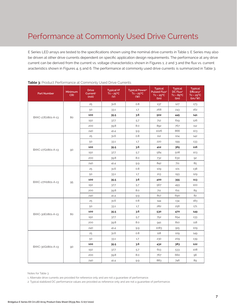E Series LED arrays are tested to the specifications shown using the nominal drive currents in Table 1. E Series may also be driven at other drive currents dependent on specific application design requirements. The performance at any drive current can be derived from the current vs. voltage characteristics shown in Figures 1, 2 and 3 and the flux vs. current aracteristics shown in Figures 4, 5 and 6. The performance at commonly used drive currents is summarized in Table 3.

| <b>Part Number</b> | Minimum<br><b>CRI</b> | <b>Drive</b><br>Current <sup>1</sup><br>(mA) | <b>Typical Vf</b><br>$Tc = 25^{\circ}C$<br>(V) | <b>Typical Power<sup>2</sup></b><br>$Tc = 25^{\circ}C$<br>(W) | <b>Typical</b><br><b>Pulsed Flux<sup>2</sup></b><br>$Tc = 25^{\circ}C$<br>(lm) | <b>Typical</b><br>DC Flux <sup>2</sup><br>$Tc = 85^{\circ}C$<br>(lm) | <b>Typical</b><br>Efficacy <sup>2</sup><br>$Tc = 25^{\circ}C$<br>$\frac{1}{2}$ |
|--------------------|-----------------------|----------------------------------------------|------------------------------------------------|---------------------------------------------------------------|--------------------------------------------------------------------------------|----------------------------------------------------------------------|--------------------------------------------------------------------------------|
|                    |                       | 25                                           | 31.6                                           | 0.8                                                           | 137                                                                            | 127                                                                  | 173                                                                            |
|                    |                       | 50                                           | 33.1                                           | 1.7                                                           | 268                                                                            | 243                                                                  | 162                                                                            |
| BXKC-27E0801-A-13  | 80                    | 100                                          | 35.5                                           | 3.6                                                           | 502                                                                            | 445                                                                  | 141                                                                            |
|                    |                       | 150                                          | 37.7                                           | 5.7                                                           | 712                                                                            | 619                                                                  | 126                                                                            |
|                    |                       | 200                                          | 39.8                                           | 8.0                                                           | 892                                                                            | 767                                                                  | 112                                                                            |
|                    |                       | 240                                          | 41.4                                           | 9.9                                                           | 1026                                                                           | 866                                                                  | 103                                                                            |
|                    |                       | 25                                           | 31.6                                           | 0.8                                                           | 112                                                                            | 104                                                                  | 142                                                                            |
|                    |                       | 50                                           | 33.1                                           | 1.7                                                           | 220                                                                            | 199                                                                  | 133                                                                            |
|                    |                       | 100                                          | 35.5                                           | 3.6                                                           | 412                                                                            | 365                                                                  | 116                                                                            |
| BXKC-27G0801-A-13  | 90                    | 150                                          | 37.7                                           | 5.7                                                           | 584                                                                            | 508                                                                  | 103                                                                            |
|                    |                       | 200                                          | 39.8                                           | 8.0                                                           | 732                                                                            | 630                                                                  | 92                                                                             |
|                    |                       | 240                                          | 41.4                                           | 9.9                                                           | 842                                                                            | 711                                                                  | 85                                                                             |
|                    |                       | 25                                           | 31.6                                           | 0.8                                                           | 109                                                                            | 101                                                                  | 138                                                                            |
|                    |                       | 50                                           | 33.1                                           | 1.7                                                           | 213                                                                            | 193                                                                  | 129                                                                            |
| BXKC-27H0801-A-13  | 95                    | 100                                          | 35.5                                           | 3.6                                                           | 400                                                                            | 355                                                                  | 113                                                                            |
|                    |                       | 150                                          | 37.7                                           | 5.7                                                           | 567                                                                            | 493                                                                  | 100                                                                            |
|                    |                       | 200                                          | 39.8                                           | 8.0                                                           | 711                                                                            | 611                                                                  | 89                                                                             |
|                    |                       | 240                                          | 41.4                                           | 9.9                                                           | 817                                                                            | 690                                                                  | 82                                                                             |
|                    |                       | 25                                           | 31.6                                           | 0.8                                                           | 144                                                                            | 134                                                                  | 183                                                                            |
|                    |                       | 50                                           | 33.1                                           | 1.7                                                           | 282                                                                            | 256                                                                  | 171                                                                            |
| BXKC-30E0801-A-13  | 80                    | 100                                          | 35.5                                           | 3.6                                                           | 530                                                                            | 470                                                                  | 149                                                                            |
|                    |                       | 150                                          | 37.7                                           | 5.7                                                           | 752                                                                            | 654                                                                  | 133                                                                            |
|                    |                       | 200                                          | 39.8                                           | 8.0                                                           | 941                                                                            | 810                                                                  | 118                                                                            |
|                    |                       | 240                                          | 41.4                                           | 9.9                                                           | 1083                                                                           | 915                                                                  | 109                                                                            |
|                    |                       | 25                                           | 31.6                                           | 0.8                                                           | 118                                                                            | 109                                                                  | 149                                                                            |
|                    |                       | 50                                           | 33.1                                           | 1.7                                                           | 230                                                                            | 209                                                                  | 139                                                                            |
|                    |                       | 100                                          | 35.5                                           | 3.6                                                           | 432                                                                            | 383                                                                  | 122                                                                            |
| BXKC-30G0801-A-13  | 90                    | 150                                          | 37.7                                           | 5.7                                                           | 613                                                                            | 533                                                                  | 108                                                                            |
|                    |                       | 200                                          | 39.8                                           | 8.0                                                           | 767                                                                            | 660                                                                  | 96                                                                             |
|                    |                       | 240                                          | 41.4                                           | 9.9                                                           | 883                                                                            | 746                                                                  | 89                                                                             |

#### **Table 3:** Product Performance at Commonly Used Drive Currents

Notes for Table 3:

1. Alternate drive currents are provided for reference only and are not a guarantee of performance.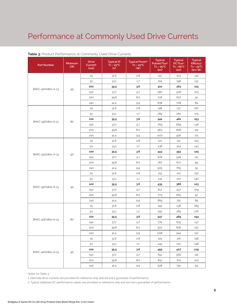| <b>Part Number</b> | Minimum<br><b>CRI</b> | <b>Drive</b><br>Current <sup>1</sup><br>(mA) | <b>Typical Vf</b><br>$Tc = 25^{\circ}C$<br>(V) | <b>Typical Power<sup>2</sup></b><br>$Tc = 25^{\circ}C$<br>(W) | <b>Typical</b><br>Pulsed Flux <sup>2</sup><br>$Tc = 25^{\circ}C$<br>(lm) | <b>Typical</b><br>DC Flux <sup>2</sup><br>$Tc = 85^{\circ}C$<br>(lm) | <b>Typical</b><br>Efficacy <sup>2</sup><br>$Tc = 25^{\circ}C$<br>(lm/W) |
|--------------------|-----------------------|----------------------------------------------|------------------------------------------------|---------------------------------------------------------------|--------------------------------------------------------------------------|----------------------------------------------------------------------|-------------------------------------------------------------------------|
|                    |                       | 25                                           | 31.6                                           | 0.8                                                           | 112                                                                      | 103                                                                  | 141                                                                     |
|                    |                       | 50                                           | 33.1                                           | 1.7                                                           | 219                                                                      | 198                                                                  | 132                                                                     |
|                    |                       | 100                                          | 35.5                                           | 3.6                                                           | 410                                                                      | 363                                                                  | 115                                                                     |
| BXKC-30H0801-A-13  | 95                    | 150                                          | 37.7                                           | 5.7                                                           | 582                                                                      | 506                                                                  | 103                                                                     |
|                    |                       | 200                                          | 39.8                                           | 8.0                                                           | 728                                                                      | 627                                                                  | 91                                                                      |
|                    |                       | 240                                          | 41.4                                           | 9.9                                                           | 838                                                                      | 708                                                                  | 84                                                                      |
|                    |                       | 25                                           | 31.6                                           | 0.8                                                           | 148                                                                      | 137                                                                  | 187                                                                     |
|                    |                       | 50                                           | 33.1                                           | 1.7                                                           | 289                                                                      | 262                                                                  | 175                                                                     |
|                    |                       | 100                                          | 35.5                                           | 3.6                                                           | 542                                                                      | 481                                                                  | 153                                                                     |
| BXKC-35E0801-A-13  | 80                    | 150                                          | 37.7                                           | 5.7                                                           | 769                                                                      | 669                                                                  | 136                                                                     |
|                    |                       | 200                                          | 39.8                                           | 8.0                                                           | 963                                                                      | 828                                                                  | 121                                                                     |
|                    |                       | 240                                          | 41.4                                           | 9.9                                                           | 1107                                                                     | 936                                                                  | 111                                                                     |
|                    |                       | 25                                           | 31.6                                           | 0.8                                                           | 121                                                                      | 112                                                                  | 153                                                                     |
|                    |                       | 50                                           | 33.1                                           | 1.7                                                           | 236                                                                      | 214                                                                  | 143                                                                     |
|                    | 90                    | 100                                          | 35.5                                           | 3.6                                                           | 443                                                                      | 393                                                                  | 125                                                                     |
| BXKC-35G0801-A-13  |                       | 150                                          | 37.7                                           | 5.7                                                           | 628                                                                      | 546                                                                  | 111                                                                     |
|                    |                       | 200                                          | 39.8                                           | 8.0                                                           | 787                                                                      | 677                                                                  | 99                                                                      |
|                    |                       | 240                                          | 41.4                                           | 9.9                                                           | 905                                                                      | 765                                                                  | 91                                                                      |
|                    | 95                    | 25                                           | 31.6                                           | 0.8                                                           | 119                                                                      | 110                                                                  | 150                                                                     |
|                    |                       | 50                                           | 33.1                                           | 1.7                                                           | 232                                                                      | 210                                                                  | 140                                                                     |
|                    |                       | 100                                          | 35.5                                           | 3.6                                                           | 435                                                                      | 386                                                                  | 123                                                                     |
| BXKC-35H0801-A-13  |                       | 150                                          | 37.7                                           | 5.7                                                           | 617                                                                      | 537                                                                  | 109                                                                     |
|                    |                       | 200                                          | 39.8                                           | 8.0                                                           | 773                                                                      | 665                                                                  | 97                                                                      |
|                    |                       | 240                                          | 41.4                                           | 9.9                                                           | 889                                                                      | 751                                                                  | 89                                                                      |
|                    |                       | 25                                           | 31.6                                           | 0.8                                                           | 149                                                                      | 138                                                                  | 189                                                                     |
|                    |                       | 50                                           | 33.1                                           | 1.7                                                           | 292                                                                      | 265                                                                  | 176                                                                     |
|                    | 80                    | 100                                          | 35.5                                           | 3.6                                                           | 547                                                                      | 485                                                                  | 154                                                                     |
| BXKC-40E0801-A-13  |                       | 150                                          | 37.7                                           | 5.7                                                           | 776                                                                      | 675                                                                  | 137                                                                     |
|                    |                       | 200                                          | 39.8                                           | 8.0                                                           | 972                                                                      | 836                                                                  | 122                                                                     |
|                    |                       | 240                                          | 41.4                                           | 9.9                                                           | 1118                                                                     | 944                                                                  | 112                                                                     |
|                    |                       | 25                                           | 31.6                                           | 0.8                                                           | 125                                                                      | 116                                                                  | 158                                                                     |
|                    |                       | 50                                           | 33.1                                           | 1.7                                                           | 245                                                                      | 222                                                                  | 148                                                                     |
|                    |                       | 100                                          | 35.5                                           | 3.6                                                           | 459                                                                      | 407                                                                  | 129                                                                     |
| BXKC-40G0801-A-13  | 90                    | 150                                          | 37.7                                           | 5.7                                                           | 651                                                                      | 566                                                                  | 115                                                                     |
|                    |                       | 200                                          | 39.8                                           | 8.0                                                           | 815                                                                      | 702                                                                  | 102                                                                     |
|                    |                       | 240                                          | 41.4                                           | 9.9                                                           | 938                                                                      | 792                                                                  | 94                                                                      |

#### **Table 3:** Product Performance at Commonly Used Drive Currents

Notes for Table 3:

1. Alternate drive currents are provided for reference only and are not a guarantee of performance.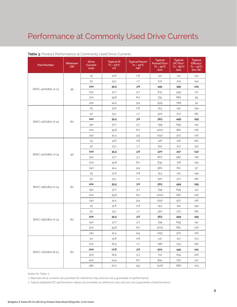| <b>Part Number</b> | Minimum<br><b>CRI</b> | <b>Drive</b><br>Current <sup>1</sup><br>(mA) | <b>Typical Vf</b><br>$Tc = 25^{\circ}C$<br>(V) | <b>Typical Power<sup>2</sup></b><br>$Tc = 25^{\circ}C$<br>(W) | <b>Typical</b><br>Pulsed Flux <sup>2</sup><br>$Tc = 25^{\circ}C$<br>(lm) | <b>Typical</b><br>DC Flux <sup>2</sup><br>$Tc = 85^{\circ}C$<br>(lm) | <b>Typical</b><br>Efficacy <sup>2</sup><br>$Tc = 25^{\circ}C$<br>(lm/W) |
|--------------------|-----------------------|----------------------------------------------|------------------------------------------------|---------------------------------------------------------------|--------------------------------------------------------------------------|----------------------------------------------------------------------|-------------------------------------------------------------------------|
|                    |                       | 25                                           | 31.6                                           | 0.8                                                           | 121                                                                      | 112                                                                  | 153                                                                     |
|                    |                       | 50                                           | 33.1                                           | 1.7                                                           | 237                                                                      | 215                                                                  | 144                                                                     |
|                    |                       | 100                                          | 35.5                                           | 3.6                                                           | 445                                                                      | 395                                                                  | 125                                                                     |
| BXKC-40H0801-A-13  | 95                    | 150                                          | 37.7                                           | 5.7                                                           | 631                                                                      | 549                                                                  | 111                                                                     |
|                    |                       | 200                                          | 39.8                                           | 8.0                                                           | 791                                                                      | 680                                                                  | 99                                                                      |
|                    |                       | 240                                          | 41.4                                           | 9.9                                                           | 909                                                                      | 768                                                                  | 91                                                                      |
|                    |                       | 25                                           | 31.6                                           | 0.8                                                           | 153                                                                      | 142                                                                  | 194                                                                     |
|                    |                       | 50                                           | 33.1                                           | 1.7                                                           | 300                                                                      | 272                                                                  | 182                                                                     |
|                    |                       | 100                                          | 35.5                                           | 3.6                                                           | 563                                                                      | 499                                                                  | 159                                                                     |
| BXKC-50E0801-A-14  | 80                    | 150                                          | 37.7                                           | 5.7                                                           | 799                                                                      | 695                                                                  | 141                                                                     |
|                    |                       | 200                                          | 39.8                                           | 8.0                                                           | 1000                                                                     | 861                                                                  | 126                                                                     |
|                    |                       | 240                                          | 41.4                                           | 9.9                                                           | 1150                                                                     | 972                                                                  | 116                                                                     |
|                    |                       | 25                                           | 31.6                                           | 0.8                                                           | 128                                                                      | 118                                                                  | 162                                                                     |
|                    |                       | 50                                           | 33.1                                           | 1.7                                                           | 250                                                                      | 227                                                                  | 152                                                                     |
|                    | 90                    | 100                                          | 35.5                                           | 3.6                                                           | 470                                                                      | 417                                                                  | 132                                                                     |
| BXKC-50G0801-A-14  |                       | 150                                          | 37.7                                           | 5.7                                                           | 667                                                                      | 580                                                                  | 118                                                                     |
|                    |                       | 200                                          | 39.8                                           | 8.0                                                           | 835                                                                      | 718                                                                  | 105                                                                     |
|                    |                       | 240                                          | 41.4                                           | 9.9                                                           | 960                                                                      | 811                                                                  | 97                                                                      |
|                    | 80                    | 25                                           | 31.6                                           | 0.8                                                           | 153                                                                      | 142                                                                  | 194                                                                     |
|                    |                       | 50                                           | 33.1                                           | 1.7                                                           | 300                                                                      | 272                                                                  | 182                                                                     |
|                    |                       | 100                                          | 35.5                                           | 3.6                                                           | 563                                                                      | 499                                                                  | 159                                                                     |
| BXKC-56E0801-A-14  |                       | 150                                          | 37.7                                           | 5.7                                                           | 799                                                                      | 695                                                                  | 141                                                                     |
|                    |                       | 200                                          | 39.8                                           | 8.0                                                           | 1000                                                                     | 861                                                                  | 126                                                                     |
|                    |                       | 240                                          | 41.4                                           | 9.9                                                           | 1150                                                                     | 972                                                                  | 116                                                                     |
|                    |                       | 25                                           | 31.6                                           | 0.8                                                           | 153                                                                      | 142                                                                  | 194                                                                     |
|                    |                       | 50                                           | 33.1                                           | 1.7                                                           | 300                                                                      | 272                                                                  | 182                                                                     |
|                    | 80                    | 100                                          | 35.5                                           | 3.6                                                           | 563                                                                      | 499                                                                  | 159                                                                     |
| BXKC-65E0801-A-14  |                       | 150                                          | 37.7                                           | 5.7                                                           | 799                                                                      | 695                                                                  | 141                                                                     |
|                    |                       | 200                                          | 39.8                                           | 8.0                                                           | 1000                                                                     | 861                                                                  | 126                                                                     |
|                    |                       | 240                                          | 41.4                                           | 9.9                                                           | 1150                                                                     | 972                                                                  | 116                                                                     |
|                    |                       | 50                                           | 15.8                                           | 0.8                                                           | 137                                                                      | 127                                                                  | 173                                                                     |
|                    |                       | 100                                          | 16.5                                           | 1.7                                                           | 268                                                                      | 243                                                                  | 162                                                                     |
|                    |                       | 200                                          | 17.8                                           | 3.6                                                           | 502                                                                      | 445                                                                  | 141                                                                     |
| BXKC-27E0801-B-13  | 80                    | 300                                          | 18.9                                           | 5.7                                                           | 712                                                                      | 619                                                                  | 126                                                                     |
|                    |                       | 400                                          | 19.9                                           | 8.0                                                           | 892                                                                      | 767                                                                  | 112                                                                     |
|                    |                       | 480                                          | 20.7                                           | 9.9                                                           | 1026                                                                     | 866                                                                  | 103                                                                     |

#### **Table 3:** Product Performance at Commonly Used Drive Currents

Notes for Table 3:

1. Alternate drive currents are provided for reference only and are not a guarantee of performance.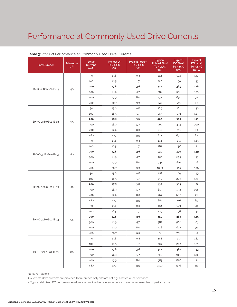| <b>Part Number</b> | <b>Minimum</b><br><b>CRI</b> | <b>Drive</b><br>Current <sup>1</sup><br>(mA) | <b>Typical Vf</b><br>$TC = 25^{\circ}C$<br>(V) | <b>Typical Power<sup>2</sup></b><br>$Tc = 25^{\circ}C$<br>(W) | <b>Typical</b><br>Pulsed Flux <sup>2</sup><br>$Tc = 25^{\circ}C$<br>(lm) | <b>Typical</b><br>DC Flux <sup>2</sup><br>$Tc = 85^{\circ}C$<br>(lm) | <b>Typical</b><br>Efficacy <sup>2</sup><br>$Tc = 25^{\circ}C$<br>(lm/W) |
|--------------------|------------------------------|----------------------------------------------|------------------------------------------------|---------------------------------------------------------------|--------------------------------------------------------------------------|----------------------------------------------------------------------|-------------------------------------------------------------------------|
|                    |                              | 50                                           | 15.8                                           | 0.8                                                           | 112                                                                      | 104                                                                  | 142                                                                     |
|                    |                              | 100                                          | 16.5                                           | 1.7                                                           | 220                                                                      | 199                                                                  | 133                                                                     |
|                    |                              | 200                                          | 17.8                                           | 3.6                                                           | 412                                                                      | 365                                                                  | 116                                                                     |
| BXKC-27G0801-B-13  | 90                           | 300                                          | 18.9                                           | 5.7                                                           | 584                                                                      | 508                                                                  | 103                                                                     |
|                    |                              | 400                                          | 19.9                                           | 8.0                                                           | 732                                                                      | 630                                                                  | 92                                                                      |
|                    |                              | 480                                          | 20.7                                           | 9.9                                                           | 842                                                                      | 711                                                                  | 85                                                                      |
|                    |                              | 50                                           | 15.8                                           | 0.8                                                           | 109                                                                      | 101                                                                  | 138                                                                     |
|                    |                              | 100                                          | 16.5                                           | 1.7                                                           | 213                                                                      | 193                                                                  | 129                                                                     |
|                    |                              | 200                                          | 17.8                                           | 3.6                                                           | 400                                                                      | 355                                                                  | 113                                                                     |
| BXKC-27H0801-B-13  | 95                           | 300                                          | 18.9                                           | 5.7                                                           | 567                                                                      | 493                                                                  | 100                                                                     |
|                    |                              | 400                                          | 19.9                                           | 8.0                                                           | 711                                                                      | 611                                                                  | 89                                                                      |
|                    |                              | 480                                          | 20.7                                           | 9.9                                                           | 817                                                                      | 690                                                                  | 82                                                                      |
|                    |                              | 50                                           | 15.8                                           | 0.8                                                           | 144                                                                      | 134                                                                  | 183                                                                     |
|                    |                              | 100                                          | 16.5                                           | 1.7                                                           | 282                                                                      | 256                                                                  | 171                                                                     |
|                    | 80                           | 200                                          | 17.8                                           | 3.6                                                           | 530                                                                      | 470                                                                  | 149                                                                     |
| BXKC-30E0801-B-13  |                              | 300                                          | 18.9                                           | 5.7                                                           | 752                                                                      | 654                                                                  | 133                                                                     |
|                    |                              | 400                                          | 19.9                                           | 8.0                                                           | 941                                                                      | 810                                                                  | 118                                                                     |
|                    |                              | 480                                          | 20.7                                           | 9.9                                                           | 1083                                                                     | 915                                                                  | 109                                                                     |
|                    | 90                           | 50                                           | 15.8                                           | 0.8                                                           | 118                                                                      | 109                                                                  | 149                                                                     |
|                    |                              | 100                                          | 16.5                                           | 1.7                                                           | 230                                                                      | 209                                                                  | 139                                                                     |
|                    |                              | 200                                          | 17.8                                           | 3.6                                                           | 432                                                                      | 383                                                                  | 122                                                                     |
| BXKC-30G0801-B-13  |                              | 300                                          | 18.9                                           | 5.7                                                           | 613                                                                      | 533                                                                  | 108                                                                     |
|                    |                              | 400                                          | 19.9                                           | 8.0                                                           | 767                                                                      | 660                                                                  | 96                                                                      |
|                    |                              | 480                                          | 20.7                                           | 9.9                                                           | 883                                                                      | 746                                                                  | 89                                                                      |
|                    |                              | 50                                           | 15.8                                           | 0.8                                                           | 112                                                                      | 103                                                                  | 141                                                                     |
|                    |                              | 100                                          | 16.5                                           | 1.7                                                           | 219                                                                      | 198                                                                  | 132                                                                     |
|                    |                              | 200                                          | 17.8                                           | 3.6                                                           | 410                                                                      | 363                                                                  | 115                                                                     |
| BXKC-30H0801-B-13  | 95                           | 300                                          | 18.9                                           | 5.7                                                           | 582                                                                      | 506                                                                  | 103                                                                     |
|                    |                              | 400                                          | 19.9                                           | 8.0                                                           | 728                                                                      | 627                                                                  | 91                                                                      |
|                    |                              | 480                                          | 20.7                                           | 9.9                                                           | 838                                                                      | 708                                                                  | 84                                                                      |
|                    |                              | 50                                           | 15.8                                           | 0.8                                                           | 148                                                                      | 137                                                                  | 187                                                                     |
|                    |                              | 100                                          | 16.5                                           | 1.7                                                           | 289                                                                      | 262                                                                  | 175                                                                     |
|                    |                              | 200                                          | 17.8                                           | 3.6                                                           | 542                                                                      | 481                                                                  | 153                                                                     |
| BXKC-35E0801-B-13  | 80                           | 300                                          | 18.9                                           | 5.7                                                           | 769                                                                      | 669                                                                  | 136                                                                     |
|                    |                              | 400                                          | 19.9                                           | 8.0                                                           | 963                                                                      | 828                                                                  | 121                                                                     |
|                    |                              | 480                                          | 20.7                                           | $9.9\,$                                                       | 1107                                                                     | 936                                                                  | 111                                                                     |

#### **Table 3:** Product Performance at Commonly Used Drive Currents

Notes for Table 3:

1. Alternate drive currents are provided for reference only and are not a guarantee of performance.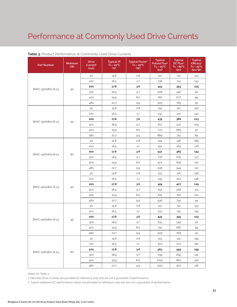| <b>Part Number</b> | Minimum<br><b>CRI</b> | <b>Drive</b><br>Current <sup>1</sup><br>(mA) | <b>Typical Vf</b><br>$Tc = 25^{\circ}C$<br>(V) | <b>Typical Power<sup>2</sup></b><br>$Tc = 25^{\circ}C$<br>(W) | <b>Typical</b><br>Pulsed Flux <sup>2</sup><br>$Tc = 25^{\circ}C$<br>(lm) | <b>Typical</b><br>DC Flux <sup>2</sup><br>$Tc = 85^{\circ}C$<br>(lm) | <b>Typical</b><br>Efficacy <sup>2</sup><br>$Tc = 25^{\circ}C$<br>(lm/W) |
|--------------------|-----------------------|----------------------------------------------|------------------------------------------------|---------------------------------------------------------------|--------------------------------------------------------------------------|----------------------------------------------------------------------|-------------------------------------------------------------------------|
|                    |                       | 50                                           | 15.8                                           | 0.8                                                           | 121                                                                      | 112                                                                  | 153                                                                     |
|                    |                       | 100                                          | 16.5                                           | 1.7                                                           | 236                                                                      | 214                                                                  | 143                                                                     |
|                    |                       | 200                                          | 17.8                                           | 3.6                                                           | 443                                                                      | 393                                                                  | 125                                                                     |
| BXKC-35G0801-B-13  | 90                    | 300                                          | 18.9                                           | 5.7                                                           | 628                                                                      | 546                                                                  | 111                                                                     |
|                    |                       | 400                                          | 19.9                                           | 8.0                                                           | 787                                                                      | 677                                                                  | 99                                                                      |
|                    |                       | 480                                          | 20.7                                           | 9.9                                                           | 905                                                                      | 765                                                                  | 91                                                                      |
|                    |                       | 50                                           | 15.8                                           | 0.8                                                           | 119                                                                      | 110                                                                  | 150                                                                     |
|                    |                       | 100                                          | 16.5                                           | 1.7                                                           | 232                                                                      | 210                                                                  | 140                                                                     |
|                    |                       | 200                                          | 17.8                                           | 3.6                                                           | 435                                                                      | 386                                                                  | 123                                                                     |
| BXKC-35H0801-B-13  | 95                    | 300                                          | 18.9                                           | 5.7                                                           | 617                                                                      | 537                                                                  | 109                                                                     |
|                    |                       | 400                                          | 19.9                                           | 8.0                                                           | 773                                                                      | 665                                                                  | 97                                                                      |
|                    |                       | 480                                          | 20.7                                           | 9.9                                                           | 889                                                                      | 751                                                                  | 89                                                                      |
|                    |                       | 50                                           | 15.8                                           | 0.8                                                           | 149                                                                      | 138                                                                  | 189                                                                     |
|                    |                       | 100                                          | 16.5                                           | 1.7                                                           | 292                                                                      | 265                                                                  | 176                                                                     |
|                    | 80                    | 200                                          | 17.8                                           | 3.6                                                           | 547                                                                      | 485                                                                  | 154                                                                     |
| BXKC-40E0801-B-13  |                       | 300                                          | 18.9                                           | 5.7                                                           | 776                                                                      | 675                                                                  | 137                                                                     |
|                    |                       | 400                                          | 19.9                                           | 8.0                                                           | 972                                                                      | 836                                                                  | 122                                                                     |
|                    |                       | 480                                          | 20.7                                           | 9.9                                                           | 1118                                                                     | 944                                                                  | 112                                                                     |
|                    | 90                    | 50                                           | 15.8                                           | 0.8                                                           | 125                                                                      | 116                                                                  | 158                                                                     |
|                    |                       | 100                                          | 16.5                                           | 1.7                                                           | 245                                                                      | 222                                                                  | 148                                                                     |
|                    |                       | 200                                          | 17.8                                           | 3.6                                                           | 459                                                                      | 407                                                                  | 129                                                                     |
| BXKC-40G0801-B-13  |                       | 300                                          | 18.9                                           | 5.7                                                           | 651                                                                      | 566                                                                  | 115                                                                     |
|                    |                       | 400                                          | 19.9                                           | 8.0                                                           | 815                                                                      | 702                                                                  | 102                                                                     |
|                    |                       | 480                                          | 20.7                                           | 9.9                                                           | 938                                                                      | 792                                                                  | 94                                                                      |
|                    |                       | 50                                           | 15.8                                           | 0.8                                                           | 121                                                                      | 112                                                                  | 153                                                                     |
|                    |                       | 100                                          | 16.5                                           | 1.7                                                           | 237                                                                      | 215                                                                  | 144                                                                     |
| BXKC-40H0801-B-13  |                       | 200                                          | 17.8                                           | 3.6                                                           | 445                                                                      | 395                                                                  | 125                                                                     |
|                    | 95                    | 300                                          | 18.9                                           | 5.7                                                           | 631                                                                      | 549                                                                  | 111                                                                     |
|                    |                       | 400                                          | 19.9                                           | 8.0                                                           | 791                                                                      | 680                                                                  | 99                                                                      |
|                    |                       | 480                                          | 20.7                                           | 9.9                                                           | 909                                                                      | 768                                                                  | 91                                                                      |
|                    |                       | 50                                           | 15.8                                           | 0.8                                                           | 153                                                                      | 142                                                                  | 194                                                                     |
|                    |                       | 100                                          | 16.5                                           | 1.7                                                           | 300                                                                      | 272                                                                  | 182                                                                     |
|                    | 80                    | 200                                          | 17.8                                           | 3.6                                                           | 563                                                                      | 499                                                                  | 159                                                                     |
| BXKC-50E0801-B-14  |                       | 300                                          | 18.9                                           | 5.7                                                           | 799                                                                      | 695                                                                  | 141                                                                     |
|                    |                       | 400                                          | 19.9                                           | 8.0                                                           | 1000                                                                     | 861                                                                  | 126                                                                     |
|                    |                       | 480                                          | 20.7                                           | 9.9                                                           | 1150                                                                     | 972                                                                  | 116                                                                     |

#### **Table 3:** Product Performance at Commonly Used Drive Currents

Notes for Table 3:

1. Alternate drive currents are provided for reference only and are not a guarantee of performance.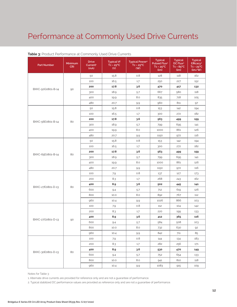| <b>Part Number</b> | Minimum<br><b>CRI</b> | <b>Drive</b><br>Current <sup>1</sup><br>(mA) | <b>Typical Vf</b><br>$Tc = 25^{\circ}C$<br>(V) | <b>Typical Power<sup>2</sup></b><br>$Tc = 25^{\circ}C$<br>(W) | <b>Typical</b><br>Pulsed Flux <sup>2</sup><br>$Tc = 25^{\circ}C$<br>(lm) | <b>Typical</b><br>DC Flux <sup>2</sup><br>$Tc = 85^{\circ}C$<br>(lm) | <b>Typical</b><br>Efficacy <sup>2</sup><br>$Tc = 25^{\circ}C$<br>(lm/W) |
|--------------------|-----------------------|----------------------------------------------|------------------------------------------------|---------------------------------------------------------------|--------------------------------------------------------------------------|----------------------------------------------------------------------|-------------------------------------------------------------------------|
|                    |                       | 50                                           | 15.8                                           | 0.8                                                           | 128                                                                      | 118                                                                  | 162                                                                     |
|                    |                       | 100                                          | 16.5                                           | 1.7                                                           | 250                                                                      | 227                                                                  | 152                                                                     |
|                    |                       | 200                                          | 17.8                                           | 3.6                                                           | 470                                                                      | 417                                                                  | 132                                                                     |
| BXKC-50G0801-B-14  | 90                    | 300                                          | 18.9                                           | 5.7                                                           | 667                                                                      | 580                                                                  | 118                                                                     |
|                    |                       | 400                                          | 19.9                                           | 8.0                                                           | 835                                                                      | 718                                                                  | 105                                                                     |
|                    |                       | 480                                          | 20.7                                           | 9.9                                                           | 960                                                                      | 811                                                                  | 97                                                                      |
|                    |                       | 50                                           | 15.8                                           | 0.8                                                           | 153                                                                      | 142                                                                  | 194                                                                     |
|                    |                       | 100                                          | 16.5                                           | 1.7                                                           | 300                                                                      | 272                                                                  | 182                                                                     |
|                    |                       | 200                                          | 17.8                                           | 3.6                                                           | 563                                                                      | 499                                                                  | 159                                                                     |
| BXKC-56E0801-B-14  | 80                    | 300                                          | 18.9                                           | 5.7                                                           | 799                                                                      | 695                                                                  | 141                                                                     |
|                    |                       | 400                                          | 19.9                                           | 8.0                                                           | 1000                                                                     | 861                                                                  | 126                                                                     |
|                    |                       | 480                                          | 20.7                                           | 9.9                                                           | 1150                                                                     | 972                                                                  | 116                                                                     |
|                    |                       | 50                                           | 15.8                                           | 0.8                                                           | 153                                                                      | 142                                                                  | 194                                                                     |
|                    |                       | 100                                          | 16.5                                           | 1.7                                                           | 300                                                                      | 272                                                                  | 182                                                                     |
|                    | 80                    | 200                                          | 17.8                                           | 3.6                                                           | 563                                                                      | 499                                                                  | 159                                                                     |
| BXKC-65E0801-B-14  |                       | 300                                          | 18.9                                           | 5.7                                                           | 799                                                                      | 695                                                                  | 141                                                                     |
|                    |                       | 400                                          | 19.9                                           | 8.0                                                           | 1000                                                                     | 861                                                                  | 126                                                                     |
|                    |                       | 480                                          | 20.7                                           | 9.9                                                           | 1150                                                                     | 972                                                                  | 116                                                                     |
|                    | 80                    | 100                                          | 7.9                                            | 0.8                                                           | 137                                                                      | 127                                                                  | 173                                                                     |
|                    |                       | 200                                          | 8.3                                            | 1.7                                                           | 268                                                                      | 243                                                                  | 162                                                                     |
|                    |                       | 400                                          | 8.9                                            | 3.6                                                           | 502                                                                      | 445                                                                  | 141                                                                     |
| BXKC-27E0801-D-13  |                       | 600                                          | 9.4                                            | 5.7                                                           | 712                                                                      | 619                                                                  | 126                                                                     |
|                    |                       | 800                                          | 10.0                                           | 8.0                                                           | 892                                                                      | 767                                                                  | 112                                                                     |
|                    |                       | 960                                          | 10.4                                           | 9.9                                                           | 1026                                                                     | 866                                                                  | 103                                                                     |
|                    |                       | 100                                          | 7.9                                            | 0.8                                                           | 112                                                                      | 104                                                                  | 142                                                                     |
|                    |                       | 200                                          | 8.3                                            | 1.7                                                           | 220                                                                      | 199                                                                  | 133                                                                     |
|                    |                       | 400                                          | 8.9                                            | 3.6                                                           | 412                                                                      | 365                                                                  | 116                                                                     |
| BXKC-27G0801-D-13  | 90                    | 600                                          | 9.4                                            | 5.7                                                           | 584                                                                      | 508                                                                  | 103                                                                     |
|                    |                       | 800                                          | 10.0                                           | 8.0                                                           | 732                                                                      | 630                                                                  | 92                                                                      |
|                    |                       | 960                                          | 10.4                                           | 9.9                                                           | 842                                                                      | 711                                                                  | 85                                                                      |
|                    |                       | 100                                          | 7.9                                            | 0.8                                                           | 144                                                                      | 134                                                                  | 183                                                                     |
|                    |                       | 200                                          | 8.3                                            | 1.7                                                           | 282                                                                      | 256                                                                  | 171                                                                     |
|                    |                       | 400                                          | 8.9                                            | 3.6                                                           | 530                                                                      | 470                                                                  | 149                                                                     |
| BXKC-30E0801-D-13  | 80                    | 600                                          | 9.4                                            | 5.7                                                           | 752                                                                      | 654                                                                  | 133                                                                     |
|                    |                       | 800                                          | 10.0                                           | 8.0                                                           | 941                                                                      | 810                                                                  | 118                                                                     |
|                    |                       | 960                                          | 10.4                                           | 9.9                                                           | 1083                                                                     | 915                                                                  | 109                                                                     |

#### **Table 3:** Product Performance at Commonly Used Drive Currents

Notes for Table 3:

1. Alternate drive currents are provided for reference only and are not a guarantee of performance.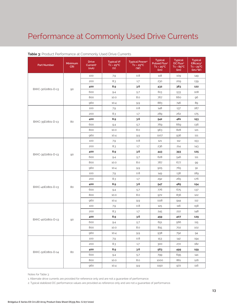| <b>Part Number</b> | Minimum<br><b>CRI</b> | <b>Drive</b><br>Current <sup>1</sup><br>(mA) | <b>Typical Vf</b><br>$Tc = 25^{\circ}C$<br>(V) | <b>Typical Power<sup>2</sup></b><br>$Tc = 25^{\circ}C$<br>(W) | <b>Typical</b><br>Pulsed Flux <sup>2</sup><br>$Tc = 25^{\circ}C$<br>(lm) | <b>Typical</b><br>DC Flux <sup>2</sup><br>$Tc = 85^{\circ}C$<br>(lm) | <b>Typical</b><br>Efficacy <sup>2</sup><br>$Tc = 25^{\circ}C$<br>(lm/W) |
|--------------------|-----------------------|----------------------------------------------|------------------------------------------------|---------------------------------------------------------------|--------------------------------------------------------------------------|----------------------------------------------------------------------|-------------------------------------------------------------------------|
|                    |                       | 100                                          | 7.9                                            | 0.8                                                           | 118                                                                      | 109                                                                  | 149                                                                     |
|                    |                       | 200                                          | 8.3                                            | 1.7                                                           | 230                                                                      | 209                                                                  | 139                                                                     |
|                    |                       | 400                                          | 8.9                                            | 3.6                                                           | 432                                                                      | 383                                                                  | 122                                                                     |
| BXKC-30G0801-D-13  | 90                    | 600                                          | 9.4                                            | 5.7                                                           | 613                                                                      | 533                                                                  | 108                                                                     |
|                    |                       | 800                                          | 10.0                                           | 8.0                                                           | 767                                                                      | 660                                                                  | 96                                                                      |
|                    |                       | 960                                          | 10.4                                           | 9.9                                                           | 883                                                                      | 746                                                                  | 89                                                                      |
|                    |                       | 100                                          | 7.9                                            | 0.8                                                           | 148                                                                      | 137                                                                  | 187                                                                     |
|                    |                       | 200                                          | 8.3                                            | 1.7                                                           | 289                                                                      | 262                                                                  | 175                                                                     |
|                    |                       | 400                                          | 8.9                                            | 3.6                                                           | 542                                                                      | 481                                                                  | 153                                                                     |
| BXKC-35E0801-D-13  | 80                    | 600                                          | 9.4                                            | 5.7                                                           | 769                                                                      | 669                                                                  | 136                                                                     |
|                    |                       | 800                                          | 10.0                                           | 8.0                                                           | 963                                                                      | 828                                                                  | 121                                                                     |
|                    |                       | 960                                          | 10.4                                           | 9.9                                                           | 1107                                                                     | 936                                                                  | 111                                                                     |
|                    |                       | 100                                          | 7.9                                            | 0.8                                                           | 121                                                                      | 112                                                                  | 153                                                                     |
|                    |                       | 200                                          | 8.3                                            | 1.7                                                           | 236                                                                      | 214                                                                  | 143                                                                     |
|                    | 90                    | 400                                          | 8.9                                            | 3.6                                                           | 443                                                                      | 393                                                                  | 125                                                                     |
| BXKC-35G0801-D-13  |                       | 600                                          | 9.4                                            | 5.7                                                           | 628                                                                      | 546                                                                  | 111                                                                     |
|                    |                       | 800                                          | 10.0                                           | 8.0                                                           | 787                                                                      | 677                                                                  | 99                                                                      |
|                    |                       | 960                                          | 10.4                                           | 9.9                                                           | 905                                                                      | 765                                                                  | 91                                                                      |
|                    | 80                    | 100                                          | 7.9                                            | 0.8                                                           | 149                                                                      | 138                                                                  | 189                                                                     |
|                    |                       | 200                                          | 8.3                                            | 1.7                                                           | 292                                                                      | 265                                                                  | 176                                                                     |
|                    |                       | 400                                          | 8.9                                            | 3.6                                                           | 547                                                                      | 485                                                                  | 154                                                                     |
| BXKC-40E0801-D-13  |                       | 600                                          | 9.4                                            | 5.7                                                           | 776                                                                      | 675                                                                  | 137                                                                     |
|                    |                       | 800                                          | 10.0                                           | 8.0                                                           | 972                                                                      | 836                                                                  | 122                                                                     |
|                    |                       | 960                                          | 10.4                                           | 9.9                                                           | 1118                                                                     | 944                                                                  | 112                                                                     |
|                    |                       | 100                                          | 7.9                                            | 0.8                                                           | 125                                                                      | 116                                                                  | 158                                                                     |
|                    |                       | 200                                          | 8.3                                            | 1.7                                                           | 245                                                                      | 222                                                                  | 148                                                                     |
|                    |                       | 400                                          | 8.9                                            | 3.6                                                           | 459                                                                      | 407                                                                  | 129                                                                     |
| BXKC-40G0801-D-13  | 90                    | 600                                          | 9.4                                            | 5.7                                                           | 651                                                                      | 566                                                                  | 115                                                                     |
|                    |                       | 800                                          | 10.0                                           | 8.0                                                           | 815                                                                      | 702                                                                  | 102                                                                     |
|                    |                       | 960                                          | 10.4                                           | 9.9                                                           | 938                                                                      | 792                                                                  | 94                                                                      |
|                    |                       | 100                                          | 7.9                                            | $0.8\,$                                                       | 153                                                                      | 142                                                                  | 194                                                                     |
|                    |                       | 200                                          | 8.3                                            | 1.7                                                           | 300                                                                      | 272                                                                  | 182                                                                     |
|                    |                       | 400                                          | 8.9                                            | 3.6                                                           | 563                                                                      | 499                                                                  | 159                                                                     |
| BXKC-50E0801-D-14  | 80                    | 600                                          | 9.4                                            | 5.7                                                           | 799                                                                      | 695                                                                  | 141                                                                     |
|                    |                       | 800                                          | 10.0                                           | 8.0                                                           | 1000                                                                     | 861                                                                  | 126                                                                     |
|                    |                       | 960                                          | 10.4                                           | 9.9                                                           | 1150                                                                     | 972                                                                  | 116                                                                     |

#### **Table 3:** Product Performance at Commonly Used Drive Currents

Notes for Table 3:

1. Alternate drive currents are provided for reference only and are not a guarantee of performance.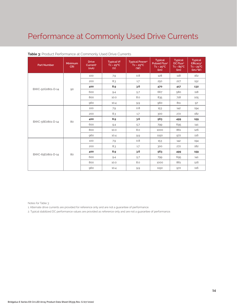| <b>Part Number</b> | <b>Minimum</b><br><b>CRI</b> | <b>Drive</b><br>Current <sup>1</sup><br>(mA) | <b>Typical Vf</b><br>$Tc = 25^{\circ}C$<br>(V) | <b>Typical Power<sup>2</sup></b><br>$Tc = 25^{\circ}C$<br>(W) | <b>Typical</b><br>Pulsed Flux <sup>2</sup><br>$Tc = 25^{\circ}C$<br>(lm) | <b>Typical</b><br>DC Flux <sup>2</sup><br>$Tc = 85^{\circ}C$<br>(lm) | <b>Typical</b><br>Efficacy <sup>2</sup><br>$Tc = 25^{\circ}C$<br>(lm/W) |
|--------------------|------------------------------|----------------------------------------------|------------------------------------------------|---------------------------------------------------------------|--------------------------------------------------------------------------|----------------------------------------------------------------------|-------------------------------------------------------------------------|
|                    | 90                           | 100                                          | 7.9                                            | 0.8                                                           | 128                                                                      | 118                                                                  | 162                                                                     |
|                    |                              | 200                                          | 8.3                                            | 1.7                                                           | 250                                                                      | 227                                                                  | 152                                                                     |
| BXKC-50G0801-D-14  |                              | 400                                          | 8.9                                            | 3.6                                                           | 470                                                                      | 417                                                                  | 132                                                                     |
|                    |                              | 600                                          | 9.4                                            | 5.7                                                           | 667                                                                      | 580                                                                  | 118                                                                     |
|                    |                              | 800                                          | 10.0                                           | 8.0                                                           | 835                                                                      | 718                                                                  | 105                                                                     |
|                    |                              | 960                                          | 10.4                                           | 9.9                                                           | 960                                                                      | 811                                                                  | 97                                                                      |
|                    | 80                           | 100                                          | 7.9                                            | 0.8                                                           | 153                                                                      | 142                                                                  | 194                                                                     |
|                    |                              | 200                                          | 8.3                                            | 1.7                                                           | 300                                                                      | 272                                                                  | 182                                                                     |
|                    |                              | 400                                          | 8.9                                            | 3.6                                                           | 563                                                                      | 499                                                                  | 159                                                                     |
| BXKC-56E0801-D-14  |                              | 600                                          | 9.4                                            | 5.7                                                           | 799                                                                      | 695                                                                  | 141                                                                     |
|                    |                              | 800                                          | 10.0                                           | 8.0                                                           | 1000                                                                     | 861                                                                  | 126                                                                     |
|                    |                              | 960                                          | 10.4                                           | 9.9                                                           | 1150                                                                     | 972                                                                  | 116                                                                     |
| BXKC-65E0801-D-14  | 80                           | 100                                          | 7.9                                            | 0.8                                                           | 153                                                                      | 142                                                                  | 194                                                                     |
|                    |                              | 200                                          | 8.3                                            | 1.7                                                           | 300                                                                      | 272                                                                  | 182                                                                     |
|                    |                              | 400                                          | 8.9                                            | 3.6                                                           | 563                                                                      | 499                                                                  | 159                                                                     |
|                    |                              | 600                                          | 9.4                                            | 5.7                                                           | 799                                                                      | 695                                                                  | 141                                                                     |
|                    |                              | 800                                          | 10.0                                           | 8.0                                                           | 1000                                                                     | 861                                                                  | 126                                                                     |
|                    |                              | 960                                          | 10.4                                           | 9.9                                                           | 1150                                                                     | 972                                                                  | 116                                                                     |

#### **Table 3:** Product Performance at Commonly Used Drive Currents

Notes for Table 3:

1. Alternate drive currents are provided for reference only and are not a guarantee of performance.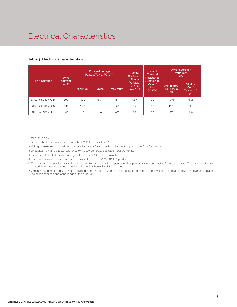### Electrical Characteristics

#### **Table 4: Electrical Characteristics**

| <b>Part Number</b> | <b>Drive</b><br>Current<br>(mA) | <b>Forward Voltage</b><br>Pulsed, Tc = 25°C (V)1,2,3 |                |         | <b>Typical</b><br>Coefficient<br>of Forward | <b>Typical</b><br><b>Thermal</b><br>Resistance      | <b>Driver Selection</b><br>Voltages <sup>6</sup><br>(V) |                                                            |
|--------------------|---------------------------------|------------------------------------------------------|----------------|---------|---------------------------------------------|-----------------------------------------------------|---------------------------------------------------------|------------------------------------------------------------|
|                    |                                 | Minimum                                              | <b>Typical</b> | Maximum | Voltage <sup>4</sup><br>Vf/Tc<br>(mV/C)     | Junction to<br>Case <sup>5.6</sup><br>Rj-c<br>(C/W) | Vf Min. Hot <sup>7</sup><br>$TC = 105^{\circ}C$<br>(V)  | Vf Max.<br>Cold <sup>7</sup><br>$Tc = -40^{\circ}C$<br>(V) |
| BXKC-xxx080x-A-1x  | 100                             | 32.0                                                 | 35.5           | 38.7    | 12.7                                        | 2.0                                                 | 30.9                                                    | 39.6                                                       |
| BXKC-xxx080x-B-1x  | 200                             | 16.0                                                 | 17.8           | 19.3    | 6.4                                         | 2.0                                                 | 15.5                                                    | 19.8                                                       |
| BXKC-xxx080x-D-1x  | 400                             | 8.0                                                  | 8.9            | 9.7     | 3.2                                         | 2.0                                                 | 7.7                                                     | 9.9                                                        |

Notes for Table 4:

1. Parts are tested in pulsed conditions, Tc = 25°C. Pulse width is 10ms.

2. Voltage minimum and maximum are provided for reference only and are not a guarantee of performance.

3. Bridgelux maintains a tester tolerance of ± 0.10V on forward voltage measurements.

4. Typical coefficient of forward voltage tolerance is ± 0.1mV for nominal current.

5. Thermal resistance values are based from test data of a 3000K 80 CRI product.

6. Thermal resistance value was calculated using total electrical input power; optical power was not subtracted from input power. The thermal interface material used during testing is not included in the thermal resistance value.

7. Vf min hot and max cold values are provided as reference only and are not guaranteed by test. These values are provided to aid in driver design and selection over the operating range of the product.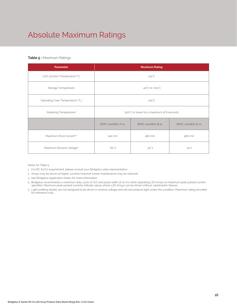### Absolute Maximum Ratings

#### **Table 5 :** Maximum Ratings

| Parameter                                                 | <b>Maximum Rating</b>                     |                   |                   |  |  |
|-----------------------------------------------------------|-------------------------------------------|-------------------|-------------------|--|--|
| LED Junction Temperature (T.)                             | $125^{\circ}$ C                           |                   |                   |  |  |
| Storage Temperature                                       | $-40^{\circ}$ C to $+105^{\circ}$ C       |                   |                   |  |  |
| Operating Case Temperature <sup>1</sup> (T <sub>2</sub> ) | $105^{\circ}$ C                           |                   |                   |  |  |
| Soldering Temperature <sup>3</sup>                        | 300°C or lower for a maximum of 6 seconds |                   |                   |  |  |
|                                                           | BXKC-xxx080x-A-1x                         | BXKC-xxx080x-B-1x | BXKC-xxx080x-D-1x |  |  |
| Maximum Drive Current <sup>24</sup>                       | 480 mA<br>240 mA                          |                   | 960 mA            |  |  |
| Maximum Reverse Voltage <sup>5</sup>                      | $-60V$                                    | $-30V$            | $-15V$            |  |  |

Notes for Table 5:

- 1. For IEC 62717 requirement, please consult your Bridgelux sales representative.
- 2. Arrays may be driven at higher currents however lumen maintenance may be reduced.
- 3. See Bridgelux Application Notes for more information.
- 4. Bridgelux recommends a maximum duty cycle of 10% and pulse width of 20 ms when operating LED Arrays at maximum peak pulsed current specified. Maximum peak pulsed currents indicate values where LED Arrays can be driven without catastrophic failures.
- 5. Light emitting diodes are not designed to be driven in reverse voltage and will not produce light under this condition. Maximum rating provided for reference only.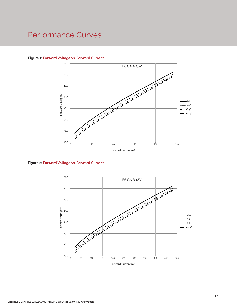

#### **Figure 1: Forward Voltage vs. Forward Current**

**Figure 2: Forward Voltage vs. Forward Current**

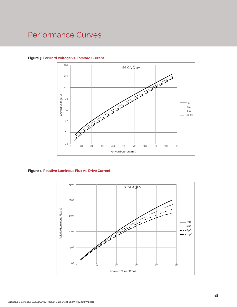

#### **Figure 3: Forward Voltage vs. Forward Current**

#### **Figure 4: Relative Luminous Flux vs. Drive Current**

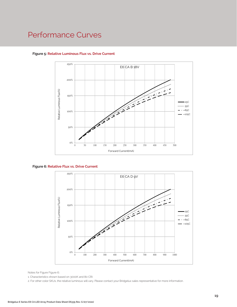

#### **Figure 5: Relative Luminous Flux vs. Drive Current**





Notes for Figure Figure 6::

1. Characteristics shown based on 3000K and 80 CRI.

2. For other color SKUs, the relative luminous will vary. Please contact your Bridgelux sales representative for more information.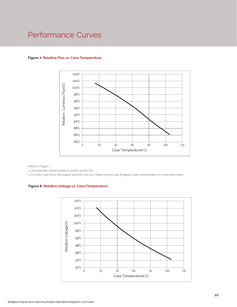

#### **Figure 7: Relative Flux vs. Case Temperature**

Notes for Figure 7:

1. Characteristics shown based on 3000K and 80 CRI.

2. For other color SKUs, the relative luminous will vary. Please contact your Bridgelux sales representative for more information.

#### **Figure 8: Relative Voltage vs. Case Temperature**

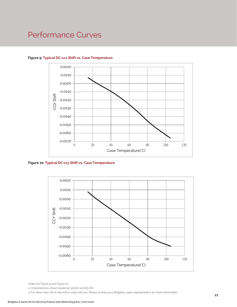

#### **Figure 9: Typical DC ccx Shift vs. Case Temperature**

**Figure 10: Typical DC ccy Shift vs. Case Temperature**



Notes for Figure 9 and Figure 10:

1. Characteristics shown based on 3000K and 80 CRI.

2. For other color SKUs, the shift in color will vary. Please contact your Bridgelux sales representative for more information.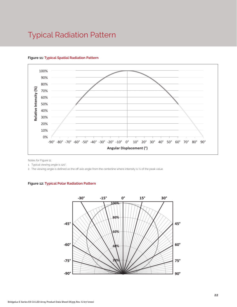### Typical Radiation Pattern



#### **Figure 11: Typical Spatial Radiation Pattern**

Notes for Figure 11:

1. Typical viewing angle is 120°.

2. The viewing angle is defined as the off axis angle from the centerline where intensity is ½ of the peak value.

#### **Figure 12: Typical Polar Radiation Pattern**

.

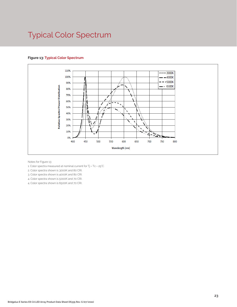### Typical Color Spectrum

#### **Figure 13: Typical Color Spectrum**



Notes for Figure 13:

- 1. Color spectra measured at nominal current for Tj = Tc = 25°C.
- 2. Color spectra shown is 3000K and 80 CRI.
- 3. Color spectra shown is 4000K and 80 CRI.
- 4. Color spectra shown is 5000K and 70 CRI.
- 4. Color spectra shown is 6500K and 70 CRI.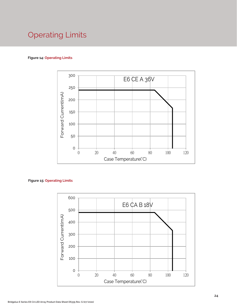### Operating Limits

#### **Figure 14: Operating Limits**



#### **Figure 15: Operating Limits**

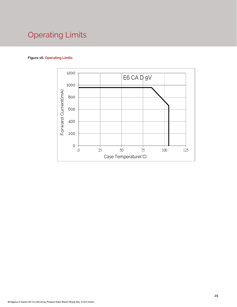### Operating Limits

#### **Figure 16: Operating Limits**

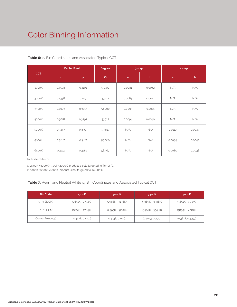### Color Binning Information

|            | <b>Center Point</b> |        | Degree | 3 step |             | 4 step       |             |
|------------|---------------------|--------|--------|--------|-------------|--------------|-------------|
| <b>CCT</b> | $\mathsf{x}$        | y      | (°)    | a      | $\mathsf b$ | $\mathsf{a}$ | $\mathbf b$ |
| 2700K      | 0.4578              | 0.4101 | 53.700 | 0.0081 | 0.0042      | N/A          | N/A         |
| 3000K      | 0.4338              | 0.403  | 53.217 | 0.0083 | 0.0041      | N/A          | N/A         |
| 3500K      | 0.4073              | 0.3917 | 54.000 | 0.0093 | 0.0041      | N/A          | N/A         |
| 4000K      | 0.3818              | 0.3797 | 53.717 | 0.0094 | 0.0040      | N/A          | N/A         |
| 5000K      | 0.3447              | 0.3553 | 59.617 | N/A    | N/A         | 0.0110       | 0.0047      |
| 5600K      | 0.3287              | 0.3417 | 59.060 | N/A    | N/A         | 0.0099       | 0.0042      |
| 6500K      | 0.3123              | 0.3282 | 58.567 | N/A    | N/A         | 0.0089       | 0.0038      |

#### **Table 6:** xy Bin Coordinates and Associated Typical CCT

Notes for Table 6:

1. 2700K \3000K\3500K\4000K product is cold targeted to Tc = 25°C

2. 5000K \5600K\6500K product is hot targeted to Tc = 85°C

#### **Table 7:** Warm and Neutral White xy Bin Coordinates and Associated Typical CCT

| <b>Bin Code</b>    | 2700K             | 3000K            | 3500K             | 4000K             |
|--------------------|-------------------|------------------|-------------------|-------------------|
| 13 (3 SDCM)        | $(2651K - 2794K)$ | (2968K - 3136K)  | (3369K - 3586K)   | $(3851K - 4130K)$ |
| 12 (2 SDCM)        | (2674K - 2769K)   | (2995K - 3107K)  | $(3404K - 3548K)$ | (3895K - 4081K)   |
| Center Point (x,y) | (0.4578, 0.4101)  | (0.4338, 0.403)1 | (0.4073, 0.3917)  | (0.3818, 0.3797)  |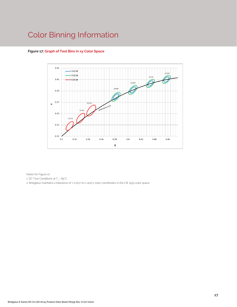### Color Binning Information



#### **Figure 17: Graph of Test Bins in xy Color Space**

Notes for Figure 17:

1. DC Test Conditions at T $_{\rm c}$  = 85°C.

2. Bridgelux maintains a tolerance of ± 0.007 on x and y color coordinates in the CIE 1931 color space.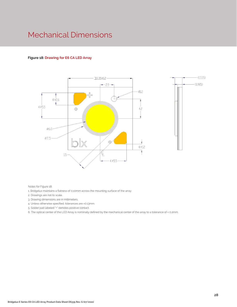### Mechanical Dimensions

#### **Figure 18: Drawing for E6 CA LED Array**



Notes for Figure 18:

1. Bridgelux maintains a flatness of 0.10mm across the mounting surface of the array

- 2. Drawings are not to scale.
- 3. Drawing dimensions are in millimeters.
- 4. Unless otherwise specified, tolerances are ±0.13mm.

5. Solder pad labeled "+" denotes positive contact.

6. The optical center of the LED Array is nominally defined by the mechanical center of the array to a tolerance of ± 0.2mm.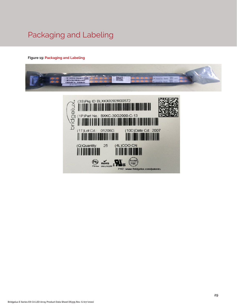### Packaging and Labeling

#### **Figure 19: Packaging and Labeling**



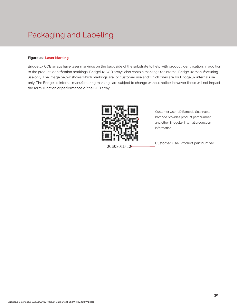### Packaging and Labeling

#### **Figure 20: Laser Marking**

Bridgelux COB arrays have laser markings on the back side of the substrate to help with product identification. In addition to the product identification markings, Bridgelux COB arrays also contain markings for internal Bridgelux manufacturing use only. The image below shows which markings are for customer use and which ones are for Bridgelux internal use only. The Bridgelux internal manufacturing markings are subject to change without notice, however these will not impact the form, function or performance of the COB array.



Customer Use- 2D Barcode Scannable barcode provides product part number and other Bridgelux internal production information.

Customer Use- Product part number 30E0801B 13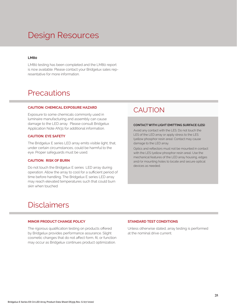### Design Resources

#### **LM80**

LM80 testing has been completed and the LM80 report is now available. Please contact your Bridgelux sales representative for more information.

### **Precautions**

#### **CAUTION: CHEMICAL EXPOSURE HAZARD**

Exposure to some chemicals commonly used in luminaire manufacturing and assembly can cause damage to the LED array. Please consult Bridgelux Application Note AN31 for additional information.

#### **CAUTION: EYE SAFETY**

The Bridgelux E series LED array emits visible light, that, under certain circumstances, could be harmful to the eye. Proper safeguards must be used.

#### **CAUTION: RISK OF BURN**

Do not touch the Bridgelux E series LED array during operation. Allow the array to cool for a sufficient period of time before handling. The Bridgelux E series LED array may reach elevated temperatures such that could burn skin when touched

### **CAUTION**

#### **CONTACT WITH LIGHT EMITTING SURFACE (LES)**

Avoid any contact with the LES. Do not touch the LES of the LED array or apply stress to the LES (yellow phosphor resin area). Contact may cause damage to the LED array.

Optics and reflectors must not be mounted in contact with the LES (yellow phosphor resin area). Use the mechanical features of the LED array housing, edges and/or mounting holes to locate and secure optical devices as needed.

### Disclaimers

#### **MINOR PRODUCT CHANGE POLICY**

The rigorous qualification testing on products offered by Bridgelux provides performance assurance. Slight cosmetic changes that do not affect form, fit, or function may occur as Bridgelux continues product optimization.

#### **STANDARD TEST CONDITIONS**

Unless otherwise stated, array testing is performed at the nominal drive current.